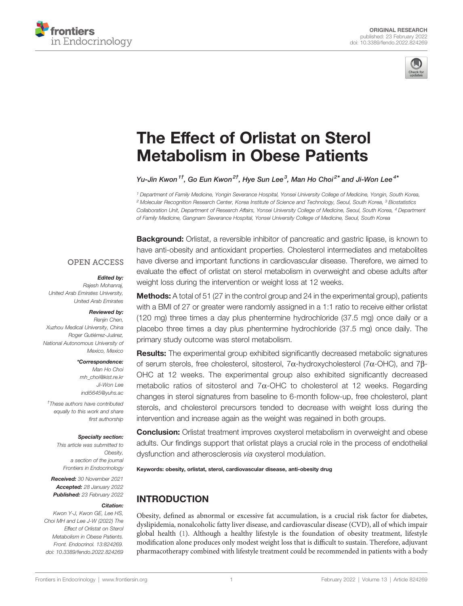



# [The Effect of Orlistat on Sterol](https://www.frontiersin.org/articles/10.3389/fendo.2022.824269/full) [Metabolism in Obese Patients](https://www.frontiersin.org/articles/10.3389/fendo.2022.824269/full)

Yu-Jin Kwon $^{1\dagger}$ . Go Eun Kwon $^{2\dagger}$ . Hve Sun Lee $^3$ . Man Ho Choi $^{2*}$  and Ji-Won Lee $^{4*}$ 

<sup>1</sup> Department of Family Medicine, Yongin Severance Hospital, Yonsei University College of Medicine, Yongin, South Korea, <sup>2</sup> Molecular Recognition Research Center, Korea Institute of Science and Technology, Seoul, South Korea, <sup>3</sup> Biostatistics Collaboration Unit, Department of Research Affairs, Yonsei University College of Medicine, Seoul, South Korea, <sup>4</sup> Department of Family Medicine, Gangnam Severance Hospital, Yonsei University College of Medicine, Seoul, South Korea

**Background:** Orlistat, a reversible inhibitor of pancreatic and gastric lipase, is known to have anti-obesity and antioxidant properties. Cholesterol intermediates and metabolites have diverse and important functions in cardiovascular disease. Therefore, we aimed to evaluate the effect of orlistat on sterol metabolism in overweight and obese adults after weight loss during the intervention or weight loss at 12 weeks.

#### **OPEN ACCESS**

#### Edited by:

Rajesh Mohanraj, United Arab Emirates University, United Arab Emirates

#### Reviewed by:

Renjin Chen, Xuzhou Medical University, China Roger Gutiérrez-Juárez, National Autonomous University of Mexico, Mexico

#### \*Correspondence:

Man Ho Choi [mh\\_choi@kist.re.kr](mailto:mh_choi@kist.re.kr) Ji-Won Lee [indi5645@yuhs.ac](mailto:indi5645@yuhs.ac)

† These authors have contributed equally to this work and share first authorship

#### Specialty section:

This article was submitted to Obesity, a section of the journal Frontiers in Endocrinology

Received: 30 November 2021 Accepted: 28 January 2022 Published: 23 February 2022

#### Citation:

Kwon Y-J, Kwon GE, Lee HS, Choi MH and Lee J-W (2022) The Effect of Orlistat on Sterol Metabolism in Obese Patients. Front. Endocrinol. 13:824269. [doi: 10.3389/fendo.2022.824269](https://doi.org/10.3389/fendo.2022.824269)

**Methods:** A total of 51 (27 in the control group and 24 in the experimental group), patients with a BMI of 27 or greater were randomly assigned in a 1:1 ratio to receive either orlistat (120 mg) three times a day plus phentermine hydrochloride (37.5 mg) once daily or a placebo three times a day plus phentermine hydrochloride (37.5 mg) once daily. The primary study outcome was sterol metabolism.

**Results:** The experimental group exhibited significantly decreased metabolic signatures of serum sterols, free cholesterol, sitosterol, 7 $\alpha$ -hydroxycholesterol (7 $\alpha$ -OHC), and 7 $\beta$ -OHC at 12 weeks. The experimental group also exhibited significantly decreased metabolic ratios of sitosterol and  $7\alpha$ -OHC to cholesterol at 12 weeks. Regarding changes in sterol signatures from baseline to 6-month follow-up, free cholesterol, plant sterols, and cholesterol precursors tended to decrease with weight loss during the intervention and increase again as the weight was regained in both groups.

**Conclusion:** Orlistat treatment improves oxysterol metabolism in overweight and obese adults. Our findings support that orlistat plays a crucial role in the process of endothelial dysfunction and atherosclerosis via oxysterol modulation.

Keywords: obesity, orlistat, sterol, cardiovascular disease, anti-obesity drug

# INTRODUCTION

Obesity, defined as abnormal or excessive fat accumulation, is a crucial risk factor for diabetes, dyslipidemia, nonalcoholic fatty liver disease, and cardiovascular disease (CVD), all of which impair global health ([1\)](#page-7-0). Although a healthy lifestyle is the foundation of obesity treatment, lifestyle modification alone produces only modest weight loss that is difficult to sustain. Therefore, adjuvant pharmacotherapy combined with lifestyle treatment could be recommended in patients with a body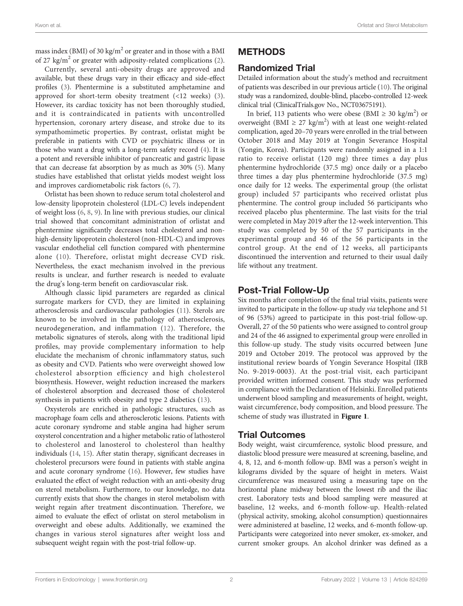mass index (BMI) of 30 kg/m<sup>2</sup> or greater and in those with a BMI of 27 kg/m<sup>2</sup> or greater with adiposity-related complications [\(2\)](#page-7-0).

Currently, several anti-obesity drugs are approved and available, but these drugs vary in their efficacy and side-effect profiles ([3](#page-7-0)). Phentermine is a substituted amphetamine and approved for short-term obesity treatment (<12 weeks) [\(3\)](#page-7-0). However, its cardiac toxicity has not been thoroughly studied, and it is contraindicated in patients with uncontrolled hypertension, coronary artery disease, and stroke due to its sympathomimetic properties. By contrast, orlistat might be preferable in patients with CVD or psychiatric illness or in those who want a drug with a long-term safety record [\(4\)](#page-7-0). It is a potent and reversible inhibitor of pancreatic and gastric lipase that can decrease fat absorption by as much as 30% ([5](#page-7-0)). Many studies have established that orlistat yields modest weight loss and improves cardiometabolic risk factors [\(6](#page-7-0), [7\)](#page-8-0).

Orlistat has been shown to reduce serum total cholesterol and low-density lipoprotein cholesterol (LDL-C) levels independent of weight loss [\(6,](#page-7-0) [8,](#page-8-0) [9](#page-8-0)). In line with previous studies, our clinical trial showed that concomitant administration of orlistat and phentermine significantly decreases total cholesterol and nonhigh-density lipoprotein cholesterol (non-HDL-C) and improves vascular endothelial cell function compared with phentermine alone ([10\)](#page-8-0). Therefore, orlistat might decrease CVD risk. Nevertheless, the exact mechanism involved in the previous results is unclear, and further research is needed to evaluate the drug's long-term benefit on cardiovascular risk.

Although classic lipid parameters are regarded as clinical surrogate markers for CVD, they are limited in explaining atherosclerosis and cardiovascular pathologies ([11\)](#page-8-0). Sterols are known to be involved in the pathology of atherosclerosis, neurodegeneration, and inflammation ([12\)](#page-8-0). Therefore, the metabolic signatures of sterols, along with the traditional lipid profiles, may provide complementary information to help elucidate the mechanism of chronic inflammatory status, such as obesity and CVD. Patients who were overweight showed low cholesterol absorption efficiency and high cholesterol biosynthesis. However, weight reduction increased the markers of cholesterol absorption and decreased those of cholesterol synthesis in patients with obesity and type 2 diabetics [\(13\)](#page-8-0).

Oxysterols are enriched in pathologic structures, such as macrophage foam cells and atherosclerotic lesions. Patients with acute coronary syndrome and stable angina had higher serum oxysterol concentration and a higher metabolic ratio of lathosterol to cholesterol and lanosterol to cholesterol than healthy individuals [\(14](#page-8-0), [15](#page-8-0)). After statin therapy, significant decreases in cholesterol precursors were found in patients with stable angina and acute coronary syndrome [\(16](#page-8-0)). However, few studies have evaluated the effect of weight reduction with an anti-obesity drug on sterol metabolism. Furthermore, to our knowledge, no data currently exists that show the changes in sterol metabolism with weight regain after treatment discontinuation. Therefore, we aimed to evaluate the effect of orlistat on sterol metabolism in overweight and obese adults. Additionally, we examined the changes in various sterol signatures after weight loss and subsequent weight regain with the post-trial follow-up.

#### METHODS

#### Randomized Trial

Detailed information about the study's method and recruitment of patients was described in our previous article ([10\)](#page-8-0). The original study was a randomized, double-blind, placebo-controlled 12-week clinical trial (ClinicalTrials.gov No., NCT03675191).

In brief, 113 patients who were obese (BMI  $\geq 30 \text{ kg/m}^2$ ) or overweight (BMI  $\geq$  27 kg/m<sup>2</sup>) with at least one weight-related complication, aged 20–70 years were enrolled in the trial between October 2018 and May 2019 at Yongin Severance Hospital (Yongin, Korea). Participants were randomly assigned in a 1:1 ratio to receive orlistat (120 mg) three times a day plus phentermine hydrochloride (37.5 mg) once daily or a placebo three times a day plus phentermine hydrochloride (37.5 mg) once daily for 12 weeks. The experimental group (the orlistat group) included 57 participants who received orlistat plus phentermine. The control group included 56 participants who received placebo plus phentermine. The last visits for the trial were completed in May 2019 after the 12-week intervention. This study was completed by 50 of the 57 participants in the experimental group and 46 of the 56 participants in the control group. At the end of 12 weeks, all participants discontinued the intervention and returned to their usual daily life without any treatment.

# Post-Trial Follow-Up

Six months after completion of the final trial visits, patients were invited to participate in the follow-up study via telephone and 51 of 96 (53%) agreed to participate in this post-trial follow-up. Overall, 27 of the 50 patients who were assigned to control group and 24 of the 46 assigned to experimental group were enrolled in this follow-up study. The study visits occurred between June 2019 and October 2019. The protocol was approved by the institutional review boards of Yongin Severance Hospital (IRB No. 9-2019-0003). At the post-trial visit, each participant provided written informed consent. This study was performed in compliance with the Declaration of Helsinki. Enrolled patients underwent blood sampling and measurements of height, weight, waist circumference, body composition, and blood pressure. The scheme of study was illustrated in [Figure 1](#page-2-0).

### Trial Outcomes

Body weight, waist circumference, systolic blood pressure, and diastolic blood pressure were measured at screening, baseline, and 4, 8, 12, and 6-month follow-up. BMI was a person's weight in kilograms divided by the square of height in meters. Waist circumference was measured using a measuring tape on the horizontal plane midway between the lowest rib and the iliac crest. Laboratory tests and blood sampling were measured at baseline, 12 weeks, and 6-month follow-up. Health-related (physical activity, smoking, alcohol consumption) questionnaires were administered at baseline, 12 weeks, and 6-month follow-up. Participants were categorized into never smoker, ex-smoker, and current smoker groups. An alcohol drinker was defined as a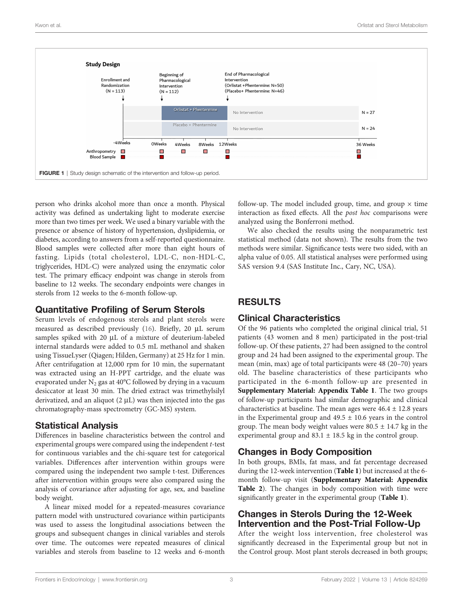<span id="page-2-0"></span>

person who drinks alcohol more than once a month. Physical activity was defined as undertaking light to moderate exercise more than two times per week. We used a binary variable with the presence or absence of history of hypertension, dyslipidemia, or diabetes, according to answers from a self-reported questionnaire. Blood samples were collected after more than eight hours of fasting. Lipids (total cholesterol, LDL-C, non-HDL-C, triglycerides, HDL-C) were analyzed using the enzymatic color test. The primary efficacy endpoint was change in sterols from baseline to 12 weeks. The secondary endpoints were changes in sterols from 12 weeks to the 6-month follow-up.

### Quantitative Profiling of Serum Sterols

Serum levels of endogenous sterols and plant sterols were measured as described previously [\(16](#page-8-0)). Briefly, 20 µL serum samples spiked with 20 µL of a mixture of deuterium-labeled internal standards were added to 0.5 mL methanol and shaken using TissueLyser (Qiagen; Hilden, Germany) at 25 Hz for 1 min. After centrifugation at 12,000 rpm for 10 min, the supernatant was extracted using an H-PPT cartridge, and the eluate was evaporated under  $N_2$  gas at 40°C followed by drying in a vacuum desiccator at least 30 min. The dried extract was trimethylsilyl derivatized, and an aliquot  $(2 \mu L)$  was then injected into the gas chromatography-mass spectrometry (GC-MS) system.

### Statistical Analysis

Differences in baseline characteristics between the control and experimental groups were compared using the independent t-test for continuous variables and the chi-square test for categorical variables. Differences after intervention within groups were compared using the independent two sample t-test. Differences after intervention within groups were also compared using the analysis of covariance after adjusting for age, sex, and baseline body weight.

A linear mixed model for a repeated-measures covariance pattern model with unstructured covariance within participants was used to assess the longitudinal associations between the groups and subsequent changes in clinical variables and sterols over time. The outcomes were repeated measures of clinical variables and sterols from baseline to 12 weeks and 6-month follow-up. The model included group, time, and group  $\times$  time interaction as fixed effects. All the post hoc comparisons were analyzed using the Bonferroni method.

We also checked the results using the nonparametric test statistical method (data not shown). The results from the two methods were similar. Significance tests were two sided, with an alpha value of 0.05. All statistical analyses were performed using SAS version 9.4 (SAS Institute Inc., Cary, NC, USA).

# RESULTS

### Clinical Characteristics

Of the 96 patients who completed the original clinical trial, 51 patients (43 women and 8 men) participated in the post-trial follow-up. Of these patients, 27 had been assigned to the control group and 24 had been assigned to the experimental group. The mean (min, max) age of total participants were 48 (20–70) years old. The baseline characteristics of these participants who participated in the 6-month follow-up are presented in [Supplementary Material: Appendix Table 1](#page-7-0). The two groups of follow-up participants had similar demographic and clinical characteristics at baseline. The mean ages were 46.4 ± 12.8 years in the Experimental group and  $49.5 \pm 10.6$  years in the control group. The mean body weight values were  $80.5 \pm 14.7$  kg in the experimental group and 83.1 ± 18.5 kg in the control group.

### Changes in Body Composition

In both groups, BMIs, fat mass, and fat percentage decreased during the 12-week intervention ([Table 1](#page-3-0)) but increased at the 6 month follow-up visit ([Supplementary Material: Appendix](#page-7-0) [Table 2](#page-7-0)). The changes in body composition with time were significantly greater in the experimental group ([Table 1](#page-3-0)).

#### Changes in Sterols During the 12-Week Intervention and the Post-Trial Follow-Up

After the weight loss intervention, free cholesterol was significantly decreased in the Experimental group but not in the Control group. Most plant sterols decreased in both groups;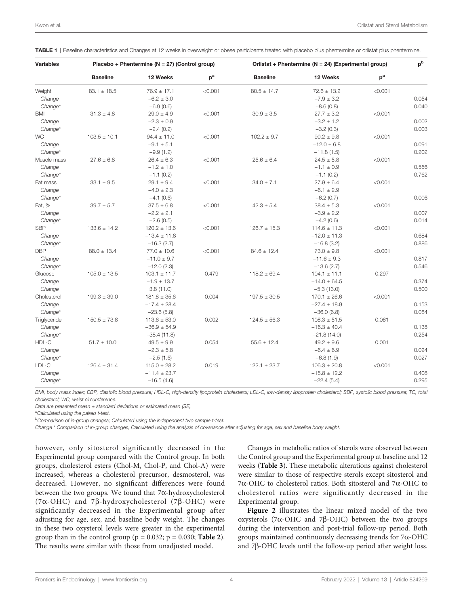| <b>Variables</b> | Placebo + Phentermine ( $N = 27$ ) (Control group) |                  |         | Orlistat + Phentermine (N = 24) (Experimental group) |                  |         | $p^b$ |
|------------------|----------------------------------------------------|------------------|---------|------------------------------------------------------|------------------|---------|-------|
|                  | <b>Baseline</b>                                    | 12 Weeks         | $p^a$   | <b>Baseline</b>                                      | 12 Weeks         | $p^a$   |       |
| Weight           | $83.1 \pm 18.5$                                    | $76.9 \pm 17.1$  | < 0.001 | $80.5 \pm 14.7$                                      | $72.6 \pm 13.2$  | < 0.001 |       |
| Change           |                                                    | $-6.2 \pm 3.0$   |         |                                                      | $-7.9 \pm 3.2$   |         | 0.054 |
| Change*          |                                                    | $-6.9(0.6)$      |         |                                                      | $-8.6(0.8)$      |         | 0.040 |
| BMI              | $31.3 \pm 4.8$                                     | $29.0 \pm 4.9$   | < 0.001 | $30.9 \pm 3.5$                                       | $27.7 \pm 3.2$   | < 0.001 |       |
| Change           |                                                    | $-2.3 \pm 0.9$   |         |                                                      | $-3.2 \pm 1.2$   |         | 0.002 |
| Change*          |                                                    | $-2.4(0.2)$      |         |                                                      | $-3.2(0.3)$      |         | 0.003 |
| <b>WC</b>        | $103.5 \pm 10.1$                                   | $94.4 \pm 11.0$  | < 0.001 | $102.2 \pm 9.7$                                      | $90.2 \pm 9.8$   | < 0.001 |       |
| Change           |                                                    | $-9.1 \pm 5.1$   |         |                                                      | $-12.0\pm6.8$    |         | 0.091 |
| Change*          |                                                    | $-9.9(1.2)$      |         |                                                      | $-11.8(1.5)$     |         | 0.202 |
| Muscle mass      | $27.6 \pm 6.8$                                     | $26.4 \pm 6.3$   | < 0.001 | $25.6 \pm 6.4$                                       | $24.5 \pm 5.8$   | < 0.001 |       |
| Change           |                                                    | $-1.2 \pm 1.0$   |         |                                                      | $-1.1 \pm 0.9$   |         | 0.556 |
| Change*          |                                                    | $-1.1(0.2)$      |         |                                                      | $-1.1(0.2)$      |         | 0.762 |
| Fat mass         | $33.1 \pm 9.5$                                     | $29.1 \pm 9.4$   | < 0.001 | $34.0 \pm 7.1$                                       | $27.9 \pm 6.4$   | < 0.001 |       |
| Change           |                                                    | $-4.0 \pm 2.3$   |         |                                                      | $-6.1 \pm 2.9$   |         |       |
| Change*          |                                                    | $-4.1(0.6)$      |         |                                                      | $-6.2(0.7)$      |         | 0.006 |
| Fat, %           | $39.7 \pm 5.7$                                     | $37.5 \pm 6.8$   | < 0.001 | $42.3 \pm 5.4$                                       | $38.4 \pm 5.3$   | < 0.001 |       |
| Change           |                                                    | $-2.2 \pm 2.1$   |         |                                                      | $-3.9 \pm 2.2$   |         | 0.007 |
| Change*          |                                                    | $-2.6(0.5)$      |         |                                                      | $-4.2(0.6)$      |         | 0.014 |
| <b>SBP</b>       | $133.6 \pm 14.2$                                   | $120.2 \pm 13.6$ | < 0.001 | $126.7 \pm 15.3$                                     | $114.6 \pm 11.3$ | < 0.001 |       |
| Change           |                                                    | $-13.4 \pm 11.8$ |         |                                                      | $-12.0 \pm 11.3$ |         | 0.684 |
| Change*          |                                                    | $-16.3(2.7)$     |         |                                                      | $-16.8(3.2)$     |         | 0.886 |
| <b>DBP</b>       | $88.0 \pm 13.4$                                    | $77.0 \pm 10.6$  | < 0.001 | $84.6 \pm 12.4$                                      | $73.0 \pm 9.8$   | < 0.001 |       |
| Change           |                                                    | $-11.0 \pm 9.7$  |         |                                                      | $-11.6 \pm 9.3$  |         | 0.817 |
| Change*          |                                                    | $-12.0(2.3)$     |         |                                                      | $-13.6(2.7)$     |         | 0.546 |
| Glucose          | $105.0 \pm 13.5$                                   | $103.1 \pm 11.7$ | 0.479   | $118.2 \pm 69.4$                                     | $104.1 \pm 11.1$ | 0.297   |       |
| Change           |                                                    | $-1.9 \pm 13.7$  |         |                                                      | $-14.0 \pm 64.5$ |         | 0.374 |
| Change           |                                                    | 3.8(11.0)        |         |                                                      | $-5.3(13.0)$     |         | 0.500 |
| Cholesterol      | $199.3 \pm 39.0$                                   | $181.8 \pm 35.6$ | 0.004   | $197.5 \pm 30.5$                                     | $170.1 \pm 26.6$ | < 0.001 |       |
| Change           |                                                    | $-17.4 \pm 28.4$ |         |                                                      | $-27.4 \pm 18.9$ |         | 0.153 |
| Change*          |                                                    | $-23.6(5.8)$     |         |                                                      | $-36.0(6.8)$     |         | 0.084 |
| Triglyceride     | $150.5 \pm 73.8$                                   | $113.6 \pm 53.0$ | 0.002   | $124.5 \pm 56.3$                                     | $108.3 \pm 51.5$ | 0.061   |       |
| Change           |                                                    | $-36.9 \pm 54.9$ |         |                                                      | $-16.3 \pm 40.4$ |         | 0.138 |
| Change*          |                                                    | $-38.4(11.8)$    |         |                                                      | $-21.8(14.0)$    |         | 0.254 |
| HDL-C            | $51.7 \pm 10.0$                                    | $49.5 \pm 9.9$   | 0.054   | $55.6 \pm 12.4$                                      | $49.2 \pm 9.6$   | 0.001   |       |
| Change           |                                                    | $-2.3 \pm 5.8$   |         |                                                      | $-6.4 \pm 6.9$   |         | 0.024 |
| Change*          |                                                    | $-2.5(1.6)$      |         |                                                      | $-6.8(1.9)$      |         | 0.027 |
| LDL-C            | $126.4 \pm 31.4$                                   | $115.0 \pm 28.2$ | 0.019   | $122.1 \pm 23.7$                                     | $106.3 \pm 20.8$ | < 0.001 |       |
| Change           |                                                    | $-11.4 \pm 23.7$ |         |                                                      | $-15.8 \pm 12.2$ |         | 0.408 |
| Change*          |                                                    | $-16.5(4.6)$     |         |                                                      | $-22.4(5.4)$     |         | 0.295 |

<span id="page-3-0"></span>TABLE 1 | Baseline characteristics and Changes at 12 weeks in overweight or obese participants treated with placebo plus phentermine or orlistat plus phentermine.

BMI, body mass index; DBP, diastolic blood pressure; HDL-C, high-density lipoprotein cholesterol; LDL-C, low-density lipoprotein cholesterol; SBP, systolic blood pressure; TC, total cholesterol; WC, waist circumference.

Data are presented mean  $\pm$  standard deviations or estimated mean (SE).

<sup>a</sup>Calculated using the paired t-test.

<sup>b</sup>Comparison of in-group changes; Calculated using the independent two sample t-test.

Change \* Comparison of in-group changes; Calculated using the analysis of covariance after adjusting for age, sex and baseline body weight.

however, only sitosterol significantly decreased in the Experimental group compared with the Control group. In both groups, cholesterol esters (Chol-M, Chol-P, and Chol-A) were increased, whereas a cholesterol precursor, desmosterol, was decreased. However, no significant differences were found between the two groups. We found that  $7\alpha$ -hydroxycholesterol ( $7\alpha$ -OHC) and  $7\beta$ -hydroxycholesterol ( $7\beta$ -OHC) were significantly decreased in the Experimental group after adjusting for age, sex, and baseline body weight. The changes in these two oxysterol levels were greater in the experimental group than in the control group ( $p = 0.032$ ;  $p = 0.030$ ; **[Table 2](#page-4-0)**). The results were similar with those from unadjusted model.

Changes in metabolic ratios of sterols were observed between the Control group and the Experimental group at baseline and 12 weeks ([Table 3](#page-5-0)). These metabolic alterations against cholesterol were similar to those of respective sterols except sitosterol and 7a-OHC to cholesterol ratios. Both sitosterol and 7a-OHC to cholesterol ratios were significantly decreased in the Experimental group.

[Figure 2](#page-5-0) illustrates the linear mixed model of the two oxysterols (7 $\alpha$ -OHC and 7 $\beta$ -OHC) between the two groups during the intervention and post-trial follow-up period. Both groups maintained continuously decreasing trends for 7a-OHC and 7b-OHC levels until the follow-up period after weight loss.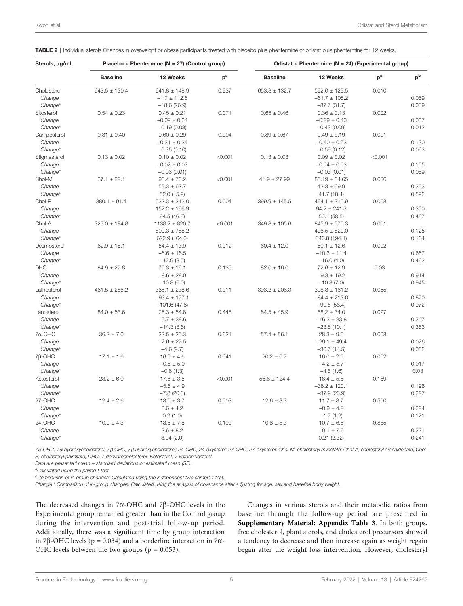| Sterols, µg/mL | Placebo + Phentermine (N = 27) (Control group) |                    |         | Orlistat + Phentermine (N = 24) (Experimental group) |                   |         |       |
|----------------|------------------------------------------------|--------------------|---------|------------------------------------------------------|-------------------|---------|-------|
|                | <b>Baseline</b>                                | 12 Weeks           | $p^a$   | <b>Baseline</b>                                      | 12 Weeks          | $p^a$   | $p^b$ |
| Cholesterol    | $643.5 \pm 130.4$                              | $641.8 \pm 148.9$  | 0.937   | $653.8 \pm 132.7$                                    | $592.0 \pm 129.5$ | 0.010   |       |
| Change         |                                                | $-1.7 \pm 112.6$   |         |                                                      | $-61.7 \pm 108.2$ |         | 0.059 |
| Change*        |                                                | $-18.6(26.9)$      |         |                                                      | $-87.7(31.7)$     |         | 0.039 |
| Sitosterol     | $0.54 \pm 0.23$                                | $0.45 \pm 0.21$    | 0.071   | $0.65 \pm 0.46$                                      | $0.36 \pm 0.13$   | 0.002   |       |
| Change         |                                                | $-0.09 \pm 0.24$   |         |                                                      | $-0.29 \pm 0.40$  |         | 0.037 |
| Change*        |                                                | $-0.19(0.08)$      |         |                                                      | $-0.43(0.09)$     |         | 0.012 |
| Campesterol    | $0.81 \pm 0.40$                                | $0.60 \pm 0.29$    | 0.004   | $0.89 \pm 0.67$                                      | $0.49 \pm 0.19$   | 0.001   |       |
| Change         |                                                | $-0.21 \pm 0.34$   |         |                                                      | $-0.40 \pm 0.53$  |         | 0.130 |
| Change*        |                                                | $-0.35(0.10)$      |         |                                                      | $-0.59(0.12)$     |         | 0.063 |
| Stigmasterol   | $0.13 \pm 0.02$                                | $0.10 \pm 0.02$    | < 0.001 | $0.13 \pm 0.03$                                      | $0.09 \pm 0.02$   | < 0.001 |       |
| Change         |                                                | $-0.02 \pm 0.03$   |         |                                                      | $-0.04 \pm 0.03$  |         | 0.105 |
| Change*        |                                                | $-0.03(0.01)$      |         |                                                      | $-0.03(0.01)$     |         | 0.059 |
| Chol-M         | $37.1 \pm 22.1$                                | $96.4 \pm 76.2$    | < 0.001 | $41.9 \pm 27.99$                                     | $85.19 \pm 64.65$ | 0.006   |       |
| Change         |                                                | $59.3 \pm 62.7$    |         |                                                      | $43.3 \pm 69.9$   |         | 0.393 |
| Change*        |                                                | 52.0 (15.9)        |         |                                                      | 41.7 (18.4)       |         | 0.592 |
| Chol-P         | $380.1 \pm 91.4$                               | $532.3 \pm 212.0$  | 0.004   | $399.9 \pm 145.5$                                    | $494.1 \pm 216.9$ | 0.068   |       |
| Change         |                                                | $152.2 \pm 196.9$  |         |                                                      | $94.2 \pm 241.3$  |         | 0.350 |
| Change*        |                                                | 94.5 (46.9)        |         |                                                      | 50.1(58.5)        |         | 0.467 |
| Chol-A         | $329.0 \pm 184.8$                              | $1138.2 \pm 820.7$ | < 0.001 | $349.3 \pm 105.6$                                    | $845.9 \pm 575.3$ | 0.001   |       |
| Change         |                                                | $809.3 \pm 788.2$  |         |                                                      | $496.5 \pm 620.0$ |         | 0.125 |
| Change*        |                                                | 622.9 (164.6)      |         |                                                      | 340.8 (194.1)     |         | 0.164 |
| Desmosterol    | $62.9 \pm 15.1$                                | $54.4 \pm 13.9$    | 0.012   | $60.4 \pm 12.0$                                      | $50.1 \pm 12.6$   | 0.002   |       |
| Change         |                                                | $-8.6 \pm 16.5$    |         |                                                      | $-10.3 \pm 11.4$  |         | 0.667 |
| Change*        |                                                | $-12.9(3.5)$       |         |                                                      | $-16.0(4.0)$      |         | 0.462 |
| <b>DHC</b>     | $84.9 \pm 27.8$                                | $76.3 \pm 19.1$    | 0.135   | $82.0 \pm 16.0$                                      | $72.6 \pm 12.9$   | 0.03    |       |
| Change         |                                                | $-8.6 \pm 28.9$    |         |                                                      | $-9.3 \pm 19.2$   |         | 0.914 |
| Change*        |                                                | $-10.8(6.0)$       |         |                                                      | $-10.3(7.0)$      |         | 0.945 |
| Lathosterol    | $461.5 \pm 256.2$                              | $368.1 \pm 238.6$  | 0.011   | $393.2 \pm 206.3$                                    | $308.8 \pm 161.2$ | 0.065   |       |
| Change         |                                                | $-93.4 \pm 177.1$  |         |                                                      | $-84.4 \pm 213.0$ |         | 0.870 |
| Change*        |                                                | $-101.6(47.8)$     |         |                                                      | $-99.5(56.4)$     |         | 0.972 |
| Lanosterol     | $84.0 \pm 53.6$                                | $78.3 \pm 54.8$    | 0.448   | $84.5 \pm 45.9$                                      | $68.2 \pm 34.0$   | 0.027   |       |
| Change         |                                                | $-5.7 \pm 38.6$    |         |                                                      | $-16.3 \pm 33.8$  |         | 0.307 |
| Change*        |                                                | $-14.3(8.6)$       |         |                                                      | $-23.8(10.1)$     |         | 0.363 |
| $7\alpha$ -OHC | $36.2 \pm 7.0$                                 | $33.5 \pm 25.3$    | 0.621   | $57.4 \pm 56.1$                                      | $28.3 \pm 9.5$    | 0.008   |       |
| Change         |                                                | $-2.6 \pm 27.5$    |         |                                                      | $-29.1 \pm 49.4$  |         | 0.026 |
| Change*        |                                                | $-4.6(9.7)$        |         |                                                      | $-30.7(14.5)$     |         | 0.032 |
| $7\beta$ -OHC  | $17.1 \pm 1.6$                                 | $16.6 \pm 4.6$     | 0.641   | $20.2 \pm 6.7$                                       | $16.0 \pm 2.0$    | 0.002   |       |
| Change         |                                                | $-0.5 \pm 5.0$     |         |                                                      | $-4.2 \pm 5.7$    |         | 0.017 |
| Change*        |                                                | $-0.8(1.3)$        |         |                                                      | $-4.5(1.6)$       |         | 0.03  |
| Ketosterol     | $23.2 \pm 6.0$                                 | $17.6 \pm 3.5$     | < 0.001 | $56.6 \pm 124.4$                                     | $18.4 \pm 5.8$    | 0.189   |       |
| Change         |                                                | $-5.6 \pm 4.9$     |         |                                                      | $-38.2 \pm 120.1$ |         | 0.196 |
| Change*        |                                                | $-7.8(20.3)$       |         |                                                      | $-37.9(23.9)$     |         | 0.227 |
| 27-OHC         | $12.4 \pm 2.6$                                 | $13.0 \pm 3.7$     | 0.503   | $12.6 \pm 3.3$                                       | $11.7 \pm 3.7$    | 0.500   |       |
| Change         |                                                | $0.6 \pm 4.2$      |         |                                                      | $-0.9 \pm 4.2$    |         | 0.224 |
| Change*        |                                                | 0.2(1.0)           |         |                                                      | $-1.7(1.2)$       |         | 0.121 |
| 24-OHC         | $10.9 \pm 4.3$                                 | $13.5 \pm 7.8$     | 0.109   | $10.8 \pm 5.3$                                       | $10.7 \pm 6.8$    | 0.885   |       |
| Change         |                                                | $2.6 \pm 8.2$      |         |                                                      | $-0.1 \pm 7.6$    |         | 0.221 |
| Change*        |                                                | 3.04(2.0)          |         |                                                      | 0.21(2.32)        |         | 0.241 |

<span id="page-4-0"></span>TABLE 2 | Individual sterols Changes in overweight or obese participants treated with placebo plus phentermine or orlistat plus phentermine for 12 weeks.

7a-OHC, 7a-hydroxycholesterol; 7b-OHC, 7b-hydroxycholesterol; 24-OHC, 24-oxysterol; 27-OHC, 27-oxysterol; Chol-M, cholesteryl myristate; Chol-A, cholesteryl arachidonate; Chol-P, cholesteryl palmitate; DHC, 7-dehydrocholesterol; Ketosterol, 7-ketocholesterol.

Data are presented mean  $\pm$  standard deviations or estimated mean (SE).

<sup>a</sup>Calculated using the paired t-test.

<sup>b</sup>Comparison of in-group changes; Calculated using the independent two sample t-test.

Change \* Comparison of in-group changes; Calculated using the analysis of covariance after adjusting for age, sex and baseline body weight.

The decreased changes in  $7\alpha$ -OHC and  $7\beta$ -OHC levels in the Experimental group remained greater than in the Control group during the intervention and post-trial follow-up period. Additionally, there was a significant time by group interaction in 7β-OHC levels ( $p = 0.034$ ) and a borderline interaction in 7α-OHC levels between the two groups ( $p = 0.053$ ).

Changes in various sterols and their metabolic ratios from baseline through the follow-up period are presented in [Supplementary Material: Appendix Table 3](#page-7-0). In both groups, free cholesterol, plant sterols, and cholesterol precursors showed a tendency to decrease and then increase again as weight regain began after the weight loss intervention. However, cholesteryl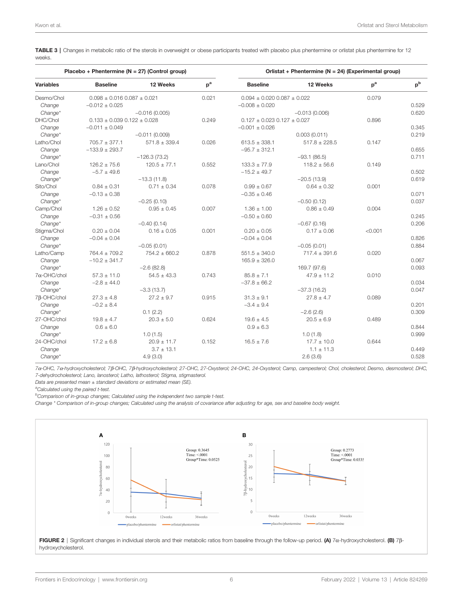<span id="page-5-0"></span>TABLE 3 | Changes in metabolic ratio of the sterols in overweight or obese participants treated with placebo plus phentermine or orlistat plus phentermine for 12 weeks.

| Placebo + Phentermine (N = 27) (Control group) |                                     |                   |       | Orlistat + Phentermine (N = 24) (Experimental group) |                   |         |       |  |
|------------------------------------------------|-------------------------------------|-------------------|-------|------------------------------------------------------|-------------------|---------|-------|--|
| <b>Variables</b>                               | <b>Baseline</b>                     | 12 Weeks          | $p^a$ | <b>Baseline</b>                                      | 12 Weeks          | $p^a$   | $p^b$ |  |
| Desmo/Chol                                     | $0.098 \pm 0.016$ 0.087 $\pm$ 0.021 |                   | 0.021 | $0.094 \pm 0.020$ $0.087 \pm 0.022$                  |                   | 0.079   |       |  |
| Change                                         | $-0.012 \pm 0.025$                  |                   |       | $-0.008 \pm 0.020$                                   |                   |         | 0.529 |  |
| Change*                                        |                                     | $-0.016(0.005)$   |       |                                                      | $-0.013(0.006)$   |         | 0.620 |  |
| DHC/Chol                                       | $0.133 \pm 0.039$ $0.122 \pm 0.028$ |                   | 0.249 | $0.127 \pm 0.023$ 0.127 $\pm$ 0.027                  |                   | 0.896   |       |  |
| Change                                         | $-0.011 \pm 0.049$                  |                   |       | $-0.001 \pm 0.026$                                   |                   |         | 0.345 |  |
| Change*                                        |                                     | $-0.011(0.009)$   |       |                                                      | 0.003(0.011)      |         | 0.219 |  |
| Latho/Chol                                     | $705.7 \pm 377.1$                   | $571.8 \pm 339.4$ | 0.026 | $613.5 \pm 338.1$                                    | $517.8 \pm 228.5$ | 0.147   |       |  |
| Change                                         | $-133.9 \pm 293.7$                  |                   |       | $-95.7 \pm 312.1$                                    |                   |         | 0.655 |  |
| Change*                                        |                                     | $-126.3(73.2)$    |       |                                                      | $-93.1(86.5)$     |         | 0.711 |  |
| Lano/Chol                                      | $126.2 \pm 75.6$                    | $120.5 \pm 77.1$  | 0.552 | $133.3 \pm 77.9$                                     | $118.2 \pm 56.6$  | 0.149   |       |  |
| Change                                         | $-5.7 \pm 49.6$                     |                   |       | $-15.2 \pm 49.7$                                     |                   |         | 0.502 |  |
| Change*                                        |                                     | $-13.3(11.8)$     |       |                                                      | $-20.5(13.9)$     |         | 0.619 |  |
| Sito/Chol                                      | $0.84 \pm 0.31$                     | $0.71 \pm 0.34$   | 0.078 | $0.99 \pm 0.67$                                      | $0.64 \pm 0.32$   | 0.001   |       |  |
| Change                                         | $-0.13 \pm 0.38$                    |                   |       | $-0.35 \pm 0.46$                                     |                   |         | 0.071 |  |
| Change*                                        |                                     | $-0.25(0.10)$     |       |                                                      | $-0.50(0.12)$     |         | 0.037 |  |
| Camp/Chol                                      | $1.26 \pm 0.52$                     | $0.95 \pm 0.45$   | 0.007 | $1.36 \pm 1.00$                                      | $0.86 \pm 0.49$   | 0.004   |       |  |
| Change                                         | $-0.31 \pm 0.56$                    |                   |       | $-0.50 \pm 0.60$                                     |                   |         | 0.245 |  |
| $Change*$                                      |                                     | $-0.40(0.14)$     |       |                                                      | $-0.67(0.16)$     |         | 0.206 |  |
| Stigma/Chol                                    | $0.20 \pm 0.04$                     | $0.16 \pm 0.05$   | 0.001 | $0.20 \pm 0.05$                                      | $0.17 \pm 0.06$   | < 0.001 |       |  |
| Change                                         | $-0.04 \pm 0.04$                    |                   |       | $-0.04 \pm 0.04$                                     |                   |         | 0.826 |  |
| Change*                                        |                                     | $-0.05(0.01)$     |       |                                                      | $-0.05(0.01)$     |         | 0.884 |  |
| Latho/Camp                                     | $764.4 \pm 709.2$                   | $754.2 \pm 660.2$ | 0.878 | $551.5 \pm 340.0$                                    | $717.4 \pm 391.6$ | 0.020   |       |  |
| Change                                         | $-10.2 \pm 341.7$                   |                   |       | $165.9 \pm 326.0$                                    |                   |         | 0.067 |  |
| Change*                                        |                                     | $-2.6(82.8)$      |       |                                                      | 169.7 (97.6)      |         | 0.093 |  |
| $7\alpha$ -OHC/chol                            | $57.3 \pm 11.0$                     | $54.5 \pm 43.3$   | 0.743 | $85.8 \pm 7.1$                                       | $47.9 \pm 11.2$   | 0.010   |       |  |
| Change                                         | $-2.8 \pm 44.0$                     |                   |       | $-37.8 \pm 66.2$                                     |                   |         | 0.034 |  |
| $Change*$                                      |                                     | $-3.3(13.7)$      |       |                                                      | $-37.3(16.2)$     |         | 0.047 |  |
| 7β-OHC/chol                                    | $27.3 \pm 4.8$                      | $27.2 \pm 9.7$    | 0.915 | $31.3 \pm 9.1$                                       | $27.8 \pm 4.7$    | 0.089   |       |  |
| Change                                         | $-0.2 \pm 8.4$                      |                   |       | $-3.4 \pm 9.4$                                       |                   |         | 0.201 |  |
| Change*                                        |                                     | 0.1(2.2)          |       |                                                      | $-2.6(2.6)$       |         | 0.309 |  |
| 27-OHC/chol                                    | $19.8 \pm 4.7$                      | $20.3 \pm 5.0$    | 0.624 | $19.6 \pm 4.5$                                       | $20.5 \pm 6.9$    | 0.489   |       |  |
| Change                                         | $0.6 \pm 6.0$                       |                   |       | $0.9 \pm 6.3$                                        |                   |         | 0.844 |  |
| Change*                                        |                                     | 1.0(1.5)          |       |                                                      | 1.0(1.8)          |         | 0.999 |  |
| 24-OHC/chol                                    | $17.2 \pm 6.8$                      | $20.9 \pm 11.7$   | 0.152 | $16.5 \pm 7.6$                                       | $17.7 \pm 10.0$   | 0.644   |       |  |
| Change                                         |                                     | $3.7 \pm 13.1$    |       |                                                      | $1.1 \pm 11.3$    |         | 0.449 |  |
| Change*                                        |                                     | 4.9(3.0)          |       |                                                      | 2.6(3.6)          |         | 0.528 |  |

7a-OHC, 7a-hydroxycholesterol; 7b-OHC, 7b-hydroxycholesterol; 27-OHC, 27-Oxysterol; 24-OHC, 24-Oxysterol; Camp, campesterol; Chol, cholesterol; Desmo, desmosterol; DHC, 7-dehydrocholesterol; Lano, lanosterol; Latho, lathosterol; Stigma, stigmasterol.

Data are presented mean ± standard deviations or estimated mean (SE).

<sup>a</sup>Calculated using the paired t-test.

<sup>b</sup>Comparison of in-group changes; Calculated using the independent two sample t-test.

Change \* Comparison of in-group changes; Calculated using the analysis of covariance after adjusting for age, sex and baseline body weight.



FIGURE 2 | Significant changes in individual sterols and their metabolic ratios from baseline through the follow-up period. (A)  $7\alpha$ -hydroxycholesterol. (B)  $7\beta$ hydroxycholesterol.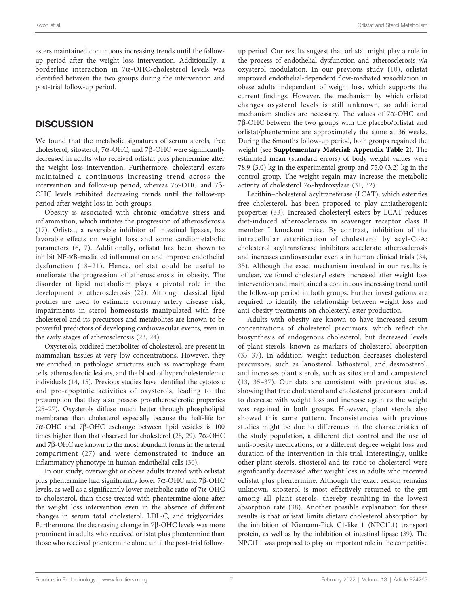esters maintained continuous increasing trends until the followup period after the weight loss intervention. Additionally, a borderline interaction in 7a-OHC/cholesterol levels was identified between the two groups during the intervention and post-trial follow-up period.

## **DISCUSSION**

We found that the metabolic signatures of serum sterols, free cholesterol, sitosterol, 7 $\alpha$ -OHC, and 7 $\beta$ -OHC were significantly decreased in adults who received orlistat plus phentermine after the weight loss intervention. Furthermore, cholesteryl esters maintained a continuous increasing trend across the intervention and follow-up period, whereas  $7\alpha$ -OHC and  $7\beta$ -OHC levels exhibited decreasing trends until the follow-up period after weight loss in both groups.

Obesity is associated with chronic oxidative stress and inflammation, which initiates the progression of atherosclerosis ([17\)](#page-8-0). Orlistat, a reversible inhibitor of intestinal lipases, has favorable effects on weight loss and some cardiometabolic parameters ([6](#page-7-0), [7\)](#page-8-0). Additionally, orlistat has been shown to inhibit NF-kB-mediated inflammation and improve endothelial dysfunction ([18](#page-8-0)–[21](#page-8-0)). Hence, orlistat could be useful to ameliorate the progression of atherosclerosis in obesity. The disorder of lipid metabolism plays a pivotal role in the development of atherosclerosis [\(22](#page-8-0)). Although classical lipid profiles are used to estimate coronary artery disease risk, impairments in sterol homeostasis manipulated with free cholesterol and its precursors and metabolites are known to be powerful predictors of developing cardiovascular events, even in the early stages of atherosclerosis [\(23,](#page-8-0) [24\)](#page-8-0).

Oxysterols, oxidized metabolites of cholesterol, are present in mammalian tissues at very low concentrations. However, they are enriched in pathologic structures such as macrophage foam cells, atherosclerotic lesions, and the blood of hypercholesterolemic individuals [\(14,](#page-8-0) [15\)](#page-8-0). Previous studies have identified the cytotoxic and pro-apoptotic activities of oxysterols, leading to the presumption that they also possess pro-atherosclerotic properties ([25](#page-8-0)–[27\)](#page-8-0). Oxysterols diffuse much better through phospholipid membranes than cholesterol especially because the half-life for  $7\alpha$ -OHC and  $7\beta$ -OHC exchange between lipid vesicles is 100 times higher than that observed for cholesterol [\(28,](#page-8-0) [29\)](#page-8-0). 7 $\alpha$ -OHC and 7b-OHC are known to the most abundant forms in the arterial compartment ([27\)](#page-8-0) and were demonstrated to induce an inflammatory phenotype in human endothelial cells ([30](#page-8-0)).

In our study, overweight or obese adults treated with orlistat plus phentermine had significantly lower  $7\alpha$ -OHC and  $7\beta$ -OHC levels, as well as a significantly lower metabolic ratio of 7a-OHC to cholesterol, than those treated with phentermine alone after the weight loss intervention even in the absence of different changes in serum total cholesterol, LDL-C, and triglycerides. Furthermore, the decreasing change in  $7\beta$ -OHC levels was more prominent in adults who received orlistat plus phentermine than those who received phentermine alone until the post-trial follow-

up period. Our results suggest that orlistat might play a role in the process of endothelial dysfunction and atherosclerosis via oxysterol modulation. In our previous study ([10](#page-8-0)), orlistat improved endothelial-dependent flow-mediated vasodilation in obese adults independent of weight loss, which supports the current findings. However, the mechanism by which orlistat changes oxysterol levels is still unknown, so additional mechanism studies are necessary. The values of 7a-OHC and 7b-OHC between the two groups with the placebo/orlistat and orlistat/phentermine are approximately the same at 36 weeks. During the 6months follow-up period, both groups regained the weight (see [Supplementary Material: Appendix Table 2](#page-7-0)). The estimated mean (standard errors) of body weight values were 78.9 (3.0) kg in the experimental group and 75.0 (3.2) kg in the control group. The weight regain may increase the metabolic activity of cholesterol 7 $\alpha$ -hydroxylase ([31](#page-8-0), [32](#page-8-0)).

Lecithin–cholesterol acyltransferase (LCAT), which esterifies free cholesterol, has been proposed to play antiatherogenic properties ([33\)](#page-8-0). Increased cholesteryl esters by LCAT reduces diet-induced atherosclerosis in scavenger receptor class B member I knockout mice. By contrast, inhibition of the intracellular esterification of cholesterol by acyl-CoA: cholesterol acyltransferase inhibitors accelerate atherosclerosis and increases cardiovascular events in human clinical trials ([34,](#page-8-0) [35](#page-8-0)). Although the exact mechanism involved in our results is unclear, we found cholesteryl esters increased after weight loss intervention and maintained a continuous increasing trend until the follow-up period in both groups. Further investigations are required to identify the relationship between weight loss and anti-obesity treatments on cholesteryl ester production.

Adults with obesity are known to have increased serum concentrations of cholesterol precursors, which reflect the biosynthesis of endogenous cholesterol, but decreased levels of plant sterols, known as markers of cholesterol absorption [\(35](#page-8-0)–[37](#page-8-0)). In addition, weight reduction decreases cholesterol precursors, such as lanosterol, lathosterol, and desmosterol, and increases plant sterols, such as sitosterol and campesterol [\(13,](#page-8-0) [35](#page-8-0)–[37](#page-8-0)). Our data are consistent with previous studies, showing that free cholesterol and cholesterol precursors tended to decrease with weight loss and increase again as the weight was regained in both groups. However, plant sterols also showed this same pattern. Inconsistencies with previous studies might be due to differences in the characteristics of the study population, a different diet control and the use of anti-obesity medications, or a different degree weight loss and duration of the intervention in this trial. Interestingly, unlike other plant sterols, sitosterol and its ratio to cholesterol were significantly decreased after weight loss in adults who received orlistat plus phentermine. Although the exact reason remains unknown, sitosterol is most effectively returned to the gut among all plant sterols, thereby resulting in the lowest absorption rate [\(38\)](#page-8-0). Another possible explanation for these results is that orlistat limits dietary cholesterol absorption by the inhibition of Niemann-Pick C1-like 1 (NPC1L1) transport protein, as well as by the inhibition of intestinal lipase [\(39\)](#page-8-0). The NPC1L1 was proposed to play an important role in the competitive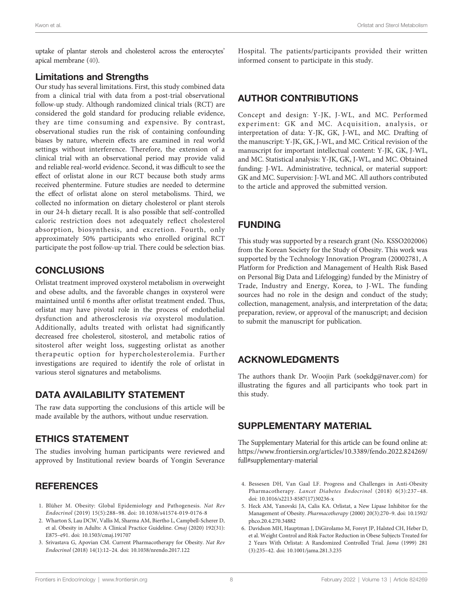<span id="page-7-0"></span>uptake of plantar sterols and cholesterol across the enterocytes' apical membrane [\(40\)](#page-8-0).

#### Limitations and Strengths

Our study has several limitations. First, this study combined data from a clinical trial with data from a post-trial observational follow-up study. Although randomized clinical trials (RCT) are considered the gold standard for producing reliable evidence, they are time consuming and expensive. By contrast, observational studies run the risk of containing confounding biases by nature, wherein effects are examined in real world settings without interference. Therefore, the extension of a clinical trial with an observational period may provide valid and reliable real-world evidence. Second, it was difficult to see the effect of orlistat alone in our RCT because both study arms received phentermine. Future studies are needed to determine the effect of orlistat alone on sterol metabolisms. Third, we collected no information on dietary cholesterol or plant sterols in our 24-h dietary recall. It is also possible that self-controlled caloric restriction does not adequately reflect cholesterol absorption, biosynthesis, and excretion. Fourth, only approximately 50% participants who enrolled original RCT participate the post follow-up trial. There could be selection bias.

#### **CONCLUSIONS**

Orlistat treatment improved oxysterol metabolism in overweight and obese adults, and the favorable changes in oxysterol were maintained until 6 months after orlistat treatment ended. Thus, orlistat may have pivotal role in the process of endothelial dysfunction and atherosclerosis via oxysterol modulation. Additionally, adults treated with orlistat had significantly decreased free cholesterol, sitosterol, and metabolic ratios of sitosterol after weight loss, suggesting orlistat as another therapeutic option for hypercholesterolemia. Further investigations are required to identify the role of orlistat in various sterol signatures and metabolisms.

#### DATA AVAILABILITY STATEMENT

The raw data supporting the conclusions of this article will be made available by the authors, without undue reservation.

#### ETHICS STATEMENT

The studies involving human participants were reviewed and approved by Institutional review boards of Yongin Severance

#### **REFERENCES**

- 1. Blüher M. Obesity: Global Epidemiology and Pathogenesis. Nat Rev Endocrinol (2019) 15(5):288–98. doi: [10.1038/s41574-019-0176-8](https://doi.org/10.1038/s41574-019-0176-8)
- 2. Wharton S, Lau DCW, Vallis M, Sharma AM, Biertho L, Campbell-Scherer D, et al. Obesity in Adults: A Clinical Practice Guideline. Cmaj (2020) 192(31): E875–e91. doi: [10.1503/cmaj.191707](https://doi.org/10.1503/cmaj.191707)
- 3. Srivastava G, Apovian CM. Current Pharmacotherapy for Obesity. Nat Rev Endocrinol (2018) 14(1):12–24. doi: [10.1038/nrendo.2017.122](https://doi.org/10.1038/nrendo.2017.122)

Hospital. The patients/participants provided their written informed consent to participate in this study.

#### AUTHOR CONTRIBUTIONS

Concept and design: Y-JK, J-WL, and MC. Performed experiment: GK and MC. Acquisition, analysis, or interpretation of data: Y-JK, GK, J-WL, and MC. Drafting of the manuscript: Y-JK, GK, J-WL, and MC. Critical revision of the manuscript for important intellectual content: Y-JK, GK, J-WL, and MC. Statistical analysis: Y-JK, GK, J-WL, and MC. Obtained funding: J-WL. Administrative, technical, or material support: GK and MC. Supervision: J-WL and MC. All authors contributed to the article and approved the submitted version.

#### FUNDING

This study was supported by a research grant (No. KSSO202006) from the Korean Society for the Study of Obesity. This work was supported by the Technology Innovation Program (20002781, A Platform for Prediction and Management of Health Risk Based on Personal Big Data and Lifelogging) funded by the Ministry of Trade, Industry and Energy, Korea, to J-WL. The funding sources had no role in the design and conduct of the study; collection, management, analysis, and interpretation of the data; preparation, review, or approval of the manuscript; and decision to submit the manuscript for publication.

#### ACKNOWLEDGMENTS

The authors thank Dr. Woojin Park (soekdg@naver.com) for illustrating the figures and all participants who took part in this study.

#### SUPPLEMENTARY MATERIAL

The Supplementary Material for this article can be found online at: [https://www.frontiersin.org/articles/10.3389/fendo.2022.824269/](https://www.frontiersin.org/articles/10.3389/fendo.2022.824269/full#supplementary-material) [full#supplementary-material](https://www.frontiersin.org/articles/10.3389/fendo.2022.824269/full#supplementary-material)

- 4. Bessesen DH, Van Gaal LF. Progress and Challenges in Anti-Obesity Pharmacotherapy. Lancet Diabetes Endocrinol (2018) 6(3):237–48. doi: [10.1016/s2213-8587\(17\)30236-x](https://doi.org/10.1016/s2213-8587(17)30236-x)
- 5. Heck AM, Yanovski JA, Calis KA. Orlistat, a New Lipase Inhibitor for the Management of Obesity. Pharmacotherapy (2000) 20(3):270–9. doi: [10.1592/](https://doi.org/10.1592/phco.20.4.270.34882) [phco.20.4.270.34882](https://doi.org/10.1592/phco.20.4.270.34882)
- 6. Davidson MH, Hauptman J, DiGirolamo M, Foreyt JP, Halsted CH, Heber D, et al. Weight Control and Risk Factor Reduction in Obese Subjects Treated for 2 Years With Orlistat: A Randomized Controlled Trial. Jama (1999) 281 (3):235–42. doi: [10.1001/jama.281.3.235](https://doi.org/10.1001/jama.281.3.235)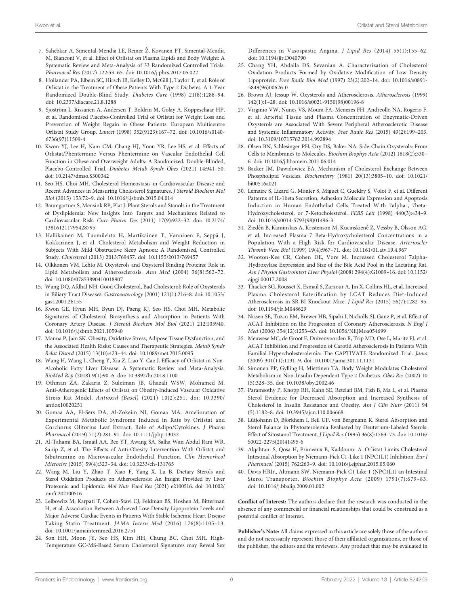- <span id="page-8-0"></span>7. Sahebkar A, Simental-Mendía LE, Reiner Ž, Kovanen PT, Simental-Mendía M, Bianconi V, et al. Effect of Orlistat on Plasma Lipids and Body Weight: A Systematic Review and Meta-Analysis of 33 Randomized Controlled Trials. Pharmacol Res (2017) 122:53–65. doi: [10.1016/j.phrs.2017.05.022](https://doi.org/10.1016/j.phrs.2017.05.022)
- 8. Hollander PA, Elbein SC, Hirsch IB, Kelley D, McGill J, Taylor T, et al. Role of Orlistat in the Treatment of Obese Patients With Type 2 Diabetes. A 1-Year Randomized Double-Blind Study. Diabetes Care (1998) 21(8):1288–94. doi: [10.2337/diacare.21.8.1288](https://doi.org/10.2337/diacare.21.8.1288)
- 9. Sjöström L, Rissanen A, Andersen T, Boldrin M, Golay A, Koppeschaar HP, et al. Randomised Placebo-Controlled Trial of Orlistat for Weight Loss and Prevention of Weight Regain in Obese Patients. European Multicentre Orlistat Study Group. Lancet (1998) 352(9123):167–72. doi: [10.1016/s0140-](https://doi.org/10.1016/s0140-6736(97)11509-4) [6736\(97\)11509-4](https://doi.org/10.1016/s0140-6736(97)11509-4)
- 10. Kwon YJ, Lee H, Nam CM, Chang HJ, Yoon YR, Lee HS, et al. Effects of Orlistat/Phentermine Versus Phentermine on Vascular Endothelial Cell Function in Obese and Overweight Adults: A Randomized, Double-Blinded, Placebo-Controlled Trial. Diabetes Metab Syndr Obes (2021) 14:941–50. doi: [10.2147/dmso.S300342](https://doi.org/10.2147/dmso.S300342)
- 11. Seo HS, Choi MH. Cholesterol Homeostasis in Cardiovascular Disease and Recent Advances in Measuring Cholesterol Signatures. J Steroid Biochem Mol Biol (2015) 153:72–9. doi: [10.1016/j.jsbmb.2015.04.014](https://doi.org/10.1016/j.jsbmb.2015.04.014)
- 12. Baumgartner S, Mensink RP, Plat J. Plant Sterols and Stanols in the Treatment of Dyslipidemia: New Insights Into Targets and Mechanisms Related to Cardiovascular Risk. Curr Pharm Des (2011) 17(9):922–32. doi: [10.2174/](https://doi.org/10.2174/138161211795428795) [138161211795428795](https://doi.org/10.2174/138161211795428795)
- 13. Hallikainen M, Tuomilehto H, Martikainen T, Vanninen E, Seppä J, Kokkarinen J, et al. Cholesterol Metabolism and Weight Reduction in Subjects With Mild Obstructive Sleep Apnoea: A Randomised, Controlled Study. Cholesterol (2013) 2013:769457. doi: [10.1155/2013/769457](https://doi.org/10.1155/2013/769457)
- 14. Olkkonen VM, Lehto M. Oxysterols and Oxysterol Binding Proteins: Role in Lipid Metabolism and Atherosclerosis. Ann Med (2004) 36(8):562–72. doi: [10.1080/07853890410018907](https://doi.org/10.1080/07853890410018907)
- 15. Wang DQ, Afdhal NH. Good Cholesterol, Bad Cholesterol: Role of Oxysterols in Biliary Tract Diseases. Gastroenterology (2001) 121(1):216–8. doi: [10.1053/](https://doi.org/10.1053/gast.2001.26155) [gast.2001.26155](https://doi.org/10.1053/gast.2001.26155)
- 16. Kwon GE, Hyun MH, Byun DJ, Paeng KJ, Seo HS, Choi MH. Metabolic Signatures of Cholesterol Biosynthesis and Absorption in Patients With Coronary Artery Disease. J Steroid Biochem Mol Biol (2021) 212:105940. doi: [10.1016/j.jsbmb.2021.105940](https://doi.org/10.1016/j.jsbmb.2021.105940)
- 17. Manna P, Jain SK. Obesity, Oxidative Stress, Adipose Tissue Dysfunction, and the Associated Health Risks: Causes and Therapeutic Strategies. Metab Syndr Relat Disord (2015) 13(10):423–44. doi: [10.1089/met.2015.0095](https://doi.org/10.1089/met.2015.0095)
- 18. Wang H, Wang L, Cheng Y, Xia Z, Liao Y, Cao J. Efficacy of Orlistat in Non-Alcoholic Fatty Liver Disease: A Systematic Review and Meta-Analysis. BioMed Rep (2018) 9(1):90–6. doi: [10.3892/br.2018.1100](https://doi.org/10.3892/br.2018.1100)
- 19. Othman ZA, Zakaria Z, Suleiman JB, Ghazali WSW, Mohamed M. Anti-Atherogenic Effects of Orlistat on Obesity-Induced Vascular Oxidative Stress Rat Model. Antioxid (Basel) (2021) 10(2):251. doi: [10.3390/](https://doi.org/10.3390/antiox10020251) [antiox10020251](https://doi.org/10.3390/antiox10020251)
- 20. Gomaa AA, El-Sers DA, Al-Zokeim NI, Gomaa MA. Amelioration of Experimental Metabolic Syndrome Induced in Rats by Orlistat and Corchorus Olitorius Leaf Extract; Role of Adipo/Cytokines. J Pharm Pharmacol (2019) 71(2):281–91. doi: [10.1111/jphp.13032](https://doi.org/10.1111/jphp.13032)
- 21. Al-Tahami BA, Ismail AA, Bee YT, Awang SA, Salha Wan Abdul Rani WR, Sanip Z, et al. The Effects of Anti-Obesity Intervention With Orlistat and Sibutramine on Microvascular Endothelial Function. Clin Hemorheol Microcirc (2015) 59(4):323–34. doi: [10.3233/ch-131765](https://doi.org/10.3233/ch-131765)
- 22. Wang M, Liu Y, Zhao T, Xiao F, Yang X, Lu B. Dietary Sterols and Sterol Oxidation Products on Atherosclerosis: An Insight Provided by Liver Proteomic and Lipidomic. Mol Nutr Food Res (2021) e2100516. doi: [10.1002/](https://doi.org/10.1002/mnfr.202100516) [mnfr.202100516](https://doi.org/10.1002/mnfr.202100516)
- 23. Leibowitz M, Karpati T, Cohen-Stavi CJ, Feldman BS, Hoshen M, Bitterman H, et al. Association Between Achieved Low-Density Lipoprotein Levels and Major Adverse Cardiac Events in Patients With Stable Ischemic Heart Disease Taking Statin Treatment. JAMA Intern Med (2016) 176(8):1105–13. doi: [10.1001/jamainternmed.2016.2751](https://doi.org/10.1001/jamainternmed.2016.2751)
- 24. Son HH, Moon JY, Seo HS, Kim HH, Chung BC, Choi MH. High-Temperature GC-MS-Based Serum Cholesterol Signatures may Reveal Sex

Differences in Vasospastic Angina. J Lipid Res (2014) 55(1):155–62. doi: [10.1194/jlr.D040790](https://doi.org/10.1194/jlr.D040790)

- 25. Chang YH, Abdalla DS, Sevanian A. Characterization of Cholesterol Oxidation Products Formed by Oxidative Modification of Low Density Lipoprotein. Free Radic Biol Med (1997) 23(2):202–14. doi: [10.1016/s0891-](https://doi.org/10.1016/s0891-5849(96)00626-0) [5849\(96\)00626-0](https://doi.org/10.1016/s0891-5849(96)00626-0)
- 26. Brown AJ, Jessup W. Oxysterols and Atherosclerosis. Atherosclerosis (1999) 142(1):1–28. doi: [10.1016/s0021-9150\(98\)00196-8](https://doi.org/10.1016/s0021-9150(98)00196-8)
- 27. Virginio VW, Nunes VS, Moura FA, Menezes FH, Andreollo NA, Rogerio F, et al. Arterial Tissue and Plasma Concentration of Enzymatic-Driven Oxysterols are Associated With Severe Peripheral Atherosclerotic Disease and Systemic Inflammatory Activity. Free Radic Res (2015) 49(2):199–203. doi: [10.3109/10715762.2014.992894](https://doi.org/10.3109/10715762.2014.992894)
- 28. Olsen BN, Schlesinger PH, Ory DS, Baker NA. Side-Chain Oxysterols: From Cells to Membranes to Molecules. Biochim Biophys Acta (2012) 1818(2):330– 6. doi: [10.1016/j.bbamem.2011.06.014](https://doi.org/10.1016/j.bbamem.2011.06.014)
- 29. Backer JM, Dawidowicz EA. Mechanism of Cholesterol Exchange Between Phospholipid Vesicles. Biochemistry (1981) 20(13):3805–10. doi: [10.1021/](https://doi.org/10.1021/bi00516a021) [bi00516a021](https://doi.org/10.1021/bi00516a021)
- 30. Lemaire S, Lizard G, Monier S, Miguet C, Gueldry S, Volot F, et al. Different Patterns of IL-1beta Secretion, Adhesion Molecule Expression and Apoptosis Induction in Human Endothelial Cells Treated With 7alpha-, 7beta-Hydroxycholesterol, or 7-Ketocholesterol. FEBS Lett (1998) 440(3):434–9. doi: [10.1016/s0014-5793\(98\)01496-3](https://doi.org/10.1016/s0014-5793(98)01496-3)
- 31. Ziedén B, Kaminskas A, Kristenson M, Kucinskienê Z, Vessby B, Olsson AG, et al. Increased Plasma 7 Beta-Hydroxycholesterol Concentrations in a Population With a High Risk for Cardiovascular Disease. Arterioscler Thromb Vasc Biol (1999) 19(4):967–71. doi: [10.1161/01.atv.19.4.967](https://doi.org/10.1161/01.atv.19.4.967)
- 32. Wooton-Kee CR, Cohen DE, Vore M. Increased Cholesterol 7alpha-Hydroxylase Expression and Size of the Bile Acid Pool in the Lactating Rat. Am J Physiol Gastrointest Liver Physiol (2008) 294(4):G1009–16. doi: [10.1152/](https://doi.org/10.1152/ajpgi.00017.2008) [ajpgi.00017.2008](https://doi.org/10.1152/ajpgi.00017.2008)
- 33. Thacker SG, Rousset X, Esmail S, Zarzour A, Jin X, Collins HL, et al. Increased Plasma Cholesterol Esterification by LCAT Reduces Diet-Induced Atherosclerosis in SR-BI Knockout Mice. J Lipid Res (2015) 56(7):1282–95. doi: [10.1194/jlr.M048629](https://doi.org/10.1194/jlr.M048629)
- 34. Nissen SE, Tuzcu EM, Brewer HB, Sipahi I, Nicholls SJ, Ganz P, et al. Effect of ACAT Inhibition on the Progression of Coronary Atherosclerosis. N Engl J Med (2006) 354(12):1253–63. doi: [10.1056/NEJMoa054699](https://doi.org/10.1056/NEJMoa054699)
- 35. Meuwese MC, de Groot E, Duivenvoorden R, Trip MD, Ose L, Maritz FJ, et al. ACAT Inhibition and Progression of Carotid Atherosclerosis in Patients With Familial Hypercholesterolemia: The CAPTIVATE Randomized Trial. Jama (2009) 301(11):1131–9. doi: [10.1001/jama.301.11.1131](https://doi.org/10.1001/jama.301.11.1131)
- 36. Simonen PP, Gylling H, Miettinen TA. Body Weight Modulates Cholesterol Metabolism in Non-Insulin Dependent Type 2 Diabetics. Obes Res (2002) 10 (5):328–35. doi: [10.1038/oby.2002.46](https://doi.org/10.1038/oby.2002.46)
- 37. Paramsothy P, Knopp RH, Kahn SE, Retzlaff BM, Fish B, Ma L, et al. Plasma Sterol Evidence for Decreased Absorption and Increased Synthesis of Cholesterol in Insulin Resistance and Obesity. Am J Clin Nutr (2011) 94 (5):1182–8. doi: [10.3945/ajcn.110.006668](https://doi.org/10.3945/ajcn.110.006668)
- 38. Lütjohann D, Björkhem I, Beil UF, von Bergmann K. Sterol Absorption and Sterol Balance in Phytosterolemia Evaluated by Deuterium-Labeled Sterols: Effect of Sitostanol Treatment. J Lipid Res (1995) 36(8):1763–73. doi: [10.1016/](https://doi.org/10.1016/S0022-2275(20)41495-6) [S0022-2275\(20\)41495-6](https://doi.org/10.1016/S0022-2275(20)41495-6)
- 39. Alqahtani S, Qosa H, Primeaux B, Kaddoumi A. Orlistat Limits Cholesterol Intestinal Absorption by Niemann-Pick C1-Like 1 (NPC1L1) Inhibition. Eur J Pharmacol (2015) 762:263–9. doi: [10.1016/j.ejphar.2015.05.060](https://doi.org/10.1016/j.ejphar.2015.05.060)
- 40. Davis HRJr., Altmann SW. Niemann-Pick C1 Like 1 (NPC1L1) an Intestinal Sterol Transporter. Biochim Biophys Acta (2009) 1791(7):679–83. doi: [10.1016/j.bbalip.2009.01.002](https://doi.org/10.1016/j.bbalip.2009.01.002)

Conflict of Interest: The authors declare that the research was conducted in the absence of any commercial or financial relationships that could be construed as a potential conflict of interest.

Publisher's Note: All claims expressed in this article are solely those of the authors and do not necessarily represent those of their affiliated organizations, or those of the publisher, the editors and the reviewers. Any product that may be evaluated in